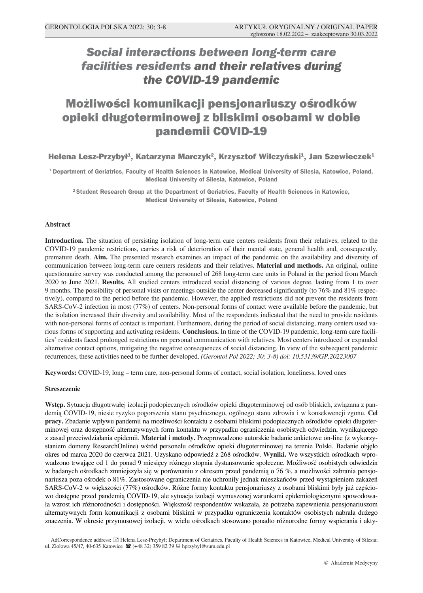# *Social interactions between long-term care facilities residents and their relatives during the COVID-19 pandemic*

# Możliwości komunikacji pensjonariuszy ośrodków opieki długoterminowej z bliskimi osobami w dobie pandemii COVID-19

# Helena Lesz-Przybył<sup>1</sup>, Katarzyna Marczyk<sup>2</sup>, Krzysztof Wilczyński<sup>1</sup>, Jan Szewieczek<sup>1</sup>

**1 Department of Geriatrics, Faculty of Health Sciences in Katowice, Medical University of Silesia, Katowice, Poland, Medical University of Silesia, Katowice, Poland**

**2 Student Research Group at the Department of Geriatrics, Faculty of Health Sciences in Katowice, Medical University of Silesia, Katowice, Poland**

#### **Abstract**

**Introduction.** The situation of persisting isolation of long-term care centers residents from their relatives, related to the COVID-19 pandemic restrictions, carries a risk of deterioration of their mental state, general health and, consequently, premature death. **Aim.** The presented research examines an impact of the pandemic on the availability and diversity of communication between long-term care centers residents and their relatives. **Material and methods.** An original, online questionnaire survey was conducted among the personnel of 268 long-term care units in Poland in the period from March 2020 to June 2021. **Results.** All studied centers introduced social distancing of various degree, lasting from 1 to over 9 months. The possibility of personal visits or meetings outside the center decreased significantly (to 76% and 81% respectively), compared to the period before the pandemic. However, the applied restrictions did not prevent the residents from SARS-CoV-2 infection in most (77%) of centers. Non-personal forms of contact were available before the pandemic, but the isolation increased their diversity and availability. Most of the respondents indicated that the need to provide residents with non-personal forms of contact is important. Furthermore, during the period of social distancing, many centers used various forms of supporting and activating residents. **Conclusions.** In time of the COVID-19 pandemic, long-term care facilities' residents faced prolonged restrictions on personal communication with relatives. Most centers introduced or expanded alternative contact options, mitigating the negative consequences of social distancing. In view of the subsequent pandemic recurrences, these activities need to be further developed. *(Gerontol Pol 2022; 30; 3-8) doi: 10.53139/GP.20223007*

**Keywords:** COVID-19, long – term care, non-personal forms of contact, social isolation, loneliness, loved ones

#### **Streszczenie**

**Wstęp.** Sytuacja długotrwałej izolacji podopiecznych ośrodków opieki długoterminowej od osób bliskich, związana z pandemią COVID-19, niesie ryzyko pogorszenia stanu psychicznego, ogólnego stanu zdrowia i w konsekwencji zgonu. **Cel pracy.** Zbadanie wpływu pandemii na możliwości kontaktu z osobami bliskimi podopiecznych ośrodków opieki długoterminowej oraz dostępność alternatywnych form kontaktu w przypadku ograniczenia osobistych odwiedzin, wynikającego z zasad przeciwdziałania epidemii. **Materiał i metody.** Przeprowadzono autorskie badanie ankietowe on-line (z wykorzystaniem domeny ResearchOnline) wśród personelu ośrodków opieki długoterminowej na terenie Polski. Badanie objęło okres od marca 2020 do czerwca 2021. Uzyskano odpowiedź z 268 ośrodków. **Wyniki.** We wszystkich ośrodkach wprowadzono trwające od 1 do ponad 9 miesięcy różnego stopnia dystansowanie społeczne. Możliwość osobistych odwiedzin w badanych ośrodkach zmniejszyła się w porównaniu z okresem przed pandemią o 76 %, a możliwości zabrania pensjonariusza poza ośrodek o 81%. Zastosowane ograniczenia nie uchroniły jednak mieszkańców przed wystąpieniem zakażeń SARS-CoV-2 w większości (77%) ośrodków. Różne formy kontaktu pensjonariuszy z osobami bliskimi były już częściowo dostępne przed pandemią COVID-19, ale sytuacja izolacji wymuszonej warunkami epidemiologicznymi spowodowała wzrost ich różnorodności i dostępności. Większość respondentów wskazała, że potrzeba zapewnienia pensjonariuszom alternatywnych form komunikacji z osobami bliskimi w przypadku ograniczenia kontaktów osobistych nabrała dużego znaczenia. W okresie przymusowej izolacji, w wielu ośrodkach stosowano ponadto różnorodne formy wspierania i akty-

AdCorrespondence address: [3] Helena Lesz-Przybył; Department of Geriatrics, Faculty of Health Sciences in Katowice, Medical University of Silesia; ul. Ziołowa 45/47, 40-635 Katowice <sup>•</sup> (+48 32) 359 82 39 **■** hprzybyl@sum.edu.pl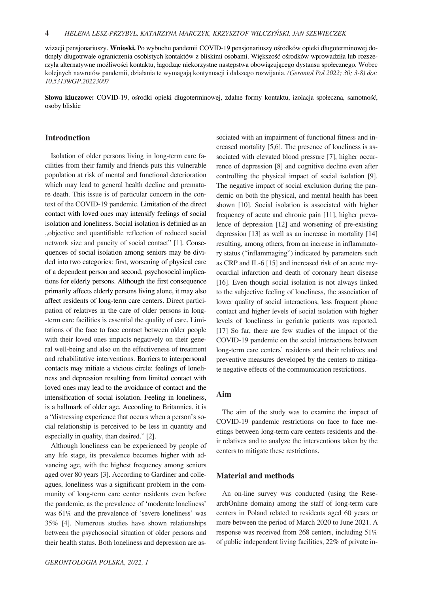wizacji pensjonariuszy. **Wnioski.** Po wybuchu pandemii COVID-19 pensjonariuszy ośrodków opieki długoterminowej dotknęły długotrwałe ograniczenia osobistych kontaktów z bliskimi osobami. Większość ośrodków wprowadziła lub rozszerzyła alternatywne możliwości kontaktu, łagodząc niekorzystne następstwa obowiązującego dystansu społecznego. Wobec kolejnych nawrotów pandemii, działania te wymagają kontynuacji i dalszego rozwijania. *(Gerontol Pol 2022; 30; 3-8) doi: 10.53139/GP.20223007*

**Słowa kluczowe:** COVID-19, ośrodki opieki długoterminowej, zdalne formy kontaktu, izolacja społeczna, samotność, osoby bliskie

# **Introduction**

Isolation of older persons living in long-term care facilities from their family and friends puts this vulnerable population at risk of mental and functional deterioration which may lead to general health decline and premature death. This issue is of particular concern in the context of the COVID-19 pandemic. Limitation of the direct contact with loved ones may intensify feelings of social isolation and loneliness. Social isolation is definied as an "objective and quantifiable reflection of reduced social network size and paucity of social contact" [1]. Consequences of social isolation among seniors may be divided into two categories: first, worsening of physical care of a dependent person and second, psychosocial implications for elderly persons. Although the first consequence primarily affects elderly persons living alone, it may also affect residents of long-term care centers. Direct participation of relatives in the care of older persons in long- -term care facilities is essential the quality of care. Limitations of the face to face contact between older people with their loved ones impacts negatively on their general well-being and also on the effectiveness of treatment and rehabilitative interventions. Barriers to interpersonal contacts may initiate a vicious circle: feelings of loneliness and depression resulting from limited contact with loved ones may lead to the avoidance of contact and the intensification of social isolation. Feeling in loneliness, is a hallmark of older age. According to Britannica, it is a "distressing experience that occurs when a person's social relationship is perceived to be less in quantity and especially in quality, than desired." [2].

Although loneliness can be experienced by people of any life stage, its prevalence becomes higher with advancing age, with the highest frequency among seniors aged over 80 years [3]. According to Gardiner and colleagues, loneliness was a significant problem in the community of long-term care center residents even before the pandemic, as the prevalence of 'moderate loneliness' was 61% and the prevalence of 'severe loneliness' was 35% [4]. Numerous studies have shown relationships between the psychosocial situation of older persons and their health status. Both loneliness and depression are associated with an impairment of functional fitness and increased mortality [5,6]. The presence of loneliness is associated with elevated blood pressure [7], higher occurrence of depression [8] and cognitive decline even after controlling the physical impact of social isolation [9]. The negative impact of social exclusion during the pandemic on both the physical, and mental health has been shown [10]. Social isolation is associated with higher frequency of acute and chronic pain [11], higher prevalence of depression [12] and worsening of pre-existing depression [13] as well as an increase in mortality [14] resulting, among others, from an increase in inflammatory status ("inflammaging") indicated by parameters such as CRP and IL-6 [15] and increased risk of an acute myocardial infarction and death of coronary heart disease [16]. Even though social isolation is not always linked to the subjective feeling of loneliness, the association of lower quality of social interactions, less frequent phone contact and higher levels of social isolation with higher levels of loneliness in geriatric patients was reported. [17] So far, there are few studies of the impact of the COVID-19 pandemic on the social interactions between long-term care centers' residents and their relatives and preventive measures developed by the centers to mitigate negative effects of the communication restrictions.

#### **Aim**

The aim of the study was to examine the impact of COVID-19 pandemic restrictions on face to face meetings between long-term care centers residents and their relatives and to analyze the interventions taken by the centers to mitigate these restrictions.

### **Material and methods**

An on-line survey was conducted (using the ResearchOnline domain) among the staff of long-term care centers in Poland related to residents aged 60 years or more between the period of March 2020 to June 2021. A response was received from 268 centers, including 51% of public independent living facilities, 22% of private in-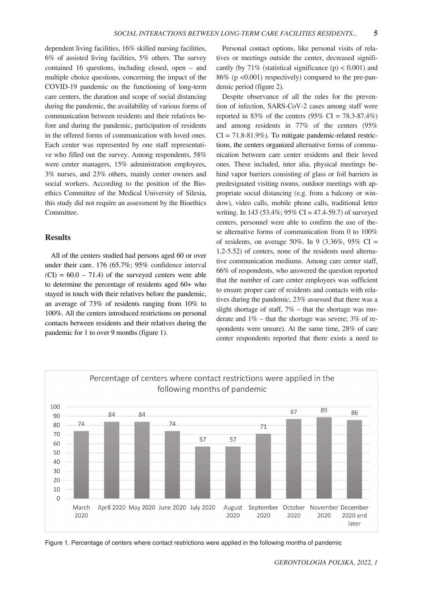dependent living facilities, 16% skilled nursing facilities, 6% of assisted living facilities, 5% others. The survey contained 16 questions, including closed, open – and multiple choice questions, concerning the impact of the COVID-19 pandemic on the functioning of long-term care centers, the duration and scope of social distancing during the pandemic, the availability of various forms of communication between residents and their relatives before and during the pandemic, participation of residents in the offered forms of communication with loved ones. Each center was represented by one staff representative who filled out the survey. Among respondents, 58% were center managers, 15% administration employees, 3% nurses, and 23% others, mainly center owners and social workers. According to the position of the Bioethics Committee of the Medical University of Silesia, this study did not require an assessment by the Bioethics Committee.

# **Results**

All of the centers studied had persons aged 60 or over under their care. 176 (65.7%; 95% confidence interval  $(CI) = 60.0 - 71.4$  of the surveyed centers were able to determine the percentage of residents aged 60+ who stayed in touch with their relatives before the pandemic, an average of 73% of residents ranging from 10% to 100%. All the centers introduced restrictions on personal contacts between residents and their relatives during the pandemic for 1 to over 9 months (figure 1).

Personal contact options, like personal visits of relatives or meetings outside the center, decreased significantly (by  $71\%$  (statistical significance (p) < 0.001) and 86% (p <0.001) respectively) compared to the pre-pandemic period (figure 2).

Despite observance of all the rules for the prevention of infection, SARS-CoV-2 cases among staff were reported in 83% of the centers  $(95\% \text{ CI} = 78.3 - 87.4\%)$ and among residents in 77% of the centers (95%  $CI = 71.8 - 81.9\%$ ). To mitigate pandemic-related restrictions, the centers organized alternative forms of communication between care center residents and their loved ones. These included, inter alia, physical meetings behind vapor barriers consisting of glass or foil barriers in predesignated visiting rooms, outdoor meetings with appropriate social distancing (e.g. from a balcony or window), video calls, mobile phone calls, traditional letter writing. In 143 (53.4%;  $95\%$  CI = 47.4-59.7) of surveyed centers, personnel were able to confirm the use of these alternative forms of communication from 0 to 100% of residents, on average 50%. In 9 (3.36%, 95% CI = 1.2‑5.52) of centers, none of the residents used alternative communication mediums. Among care center staff, 66% of respondents, who answered the question reported that the number of care center employees was sufficient to ensure proper care of residents and contacts with relatives during the pandemic, 23% assessed that there was a slight shortage of staff,  $7\%$  – that the shortage was moderate and  $1\%$  – that the shortage was severe; 3% of respondents were unsure). At the same time, 28% of care center respondents reported that there exists a need to



Figure 1. Percentage of centers where contact restrictions were applied in the following months of pandemic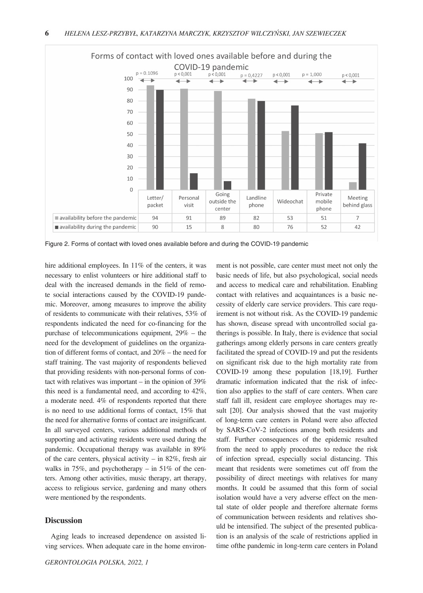

Figure 2. Forms of contact with loved ones available before and during the COVID-19 pandemic

hire additional employees. In 11% of the centers, it was necessary to enlist volunteers or hire additional staff to deal with the increased demands in the field of remote social interactions caused by the COVID-19 pandemic. Moreover, among measures to improve the ability of residents to communicate with their relatives, 53% of respondents indicated the need for co-financing for the purchase of telecommunications equipment, 29% – the need for the development of guidelines on the organization of different forms of contact, and 20% – the need for staff training. The vast majority of respondents believed that providing residents with non-personal forms of contact with relatives was important – in the opinion of 39% this need is a fundamental need, and according to 42%, a moderate need. 4% of respondents reported that there is no need to use additional forms of contact, 15% that the need for alternative forms of contact are insignificant. In all surveyed centers, various additional methods of supporting and activating residents were used during the pandemic. Occupational therapy was available in 89% of the care centers, physical activity – in 82%, fresh air walks in 75%, and psychotherapy – in 51% of the centers. Among other activities, music therapy, art therapy, access to religious service, gardening and many others were mentioned by the respondents.

## **Discussion**

Aging leads to increased dependence on assisted living services. When adequate care in the home environ-

ment is not possible, care center must meet not only the basic needs of life, but also psychological, social needs and access to medical care and rehabilitation. Enabling contact with relatives and acquaintances is a basic necessity of elderly care service providers. This care requirement is not without risk. As the COVID-19 pandemic has shown, disease spread with uncontrolled social gatherings is possible. In Italy, there is evidence that social gatherings among elderly persons in care centers greatly facilitated the spread of COVID-19 and put the residents on significant risk due to the high mortality rate from COVID-19 among these population [18,19]. Further dramatic information indicated that the risk of infection also applies to the staff of care centers. When care staff fall ill, resident care employee shortages may result [20]. Our analysis showed that the vast majority of long-term care centers in Poland were also affected by SARS-CoV-2 infections among both residents and staff. Further consequences of the epidemic resulted from the need to apply procedures to reduce the risk of infection spread, especially social distancing. This meant that residents were sometimes cut off from the possibility of direct meetings with relatives for many months. It could be assumed that this form of social isolation would have a very adverse effect on the mental state of older people and therefore alternate forms of communication between residents and relatives should be intensified. The subject of the presented publication is an analysis of the scale of restrictions applied in time ofthe pandemic in long-term care centers in Poland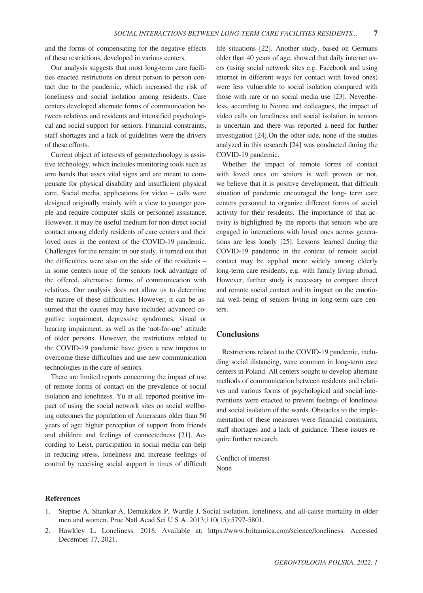and the forms of compensating for the negative effects of these restrictions, developed in various centers.

Our analysis suggests that most long-term care facilities enacted restrictions on direct person to person contact due to the pandemic, which increased the risk of loneliness and social isolation among residents. Care centers developed alternate forms of communication between relatives and residents and intensified psychological and social support for seniors. Financial constraints, staff shortages and a lack of guidelines were the drivers of these efforts.

Current object of interests of gerontechnology is assistive technology, which includes monitoring tools such as arm bands that asses vital signs and are meant to compensate for physical disability and insufficient physical care. Social media, applications for video – calls were designed originally mainly with a view to younger people and require computer skills or personnel assistance. However, it may be useful medium for non-direct social contact among elderly residents of care centers and their loved ones in the context of the COVID-19 pandemic. Challenges for the remain: in our study, it turned out that the difficulties were also on the side of the residents – in some centers none of the seniors took advantage of the offered, alternative forms of communication with relatives. Our analysis does not allow us to determine the nature of these difficulties. However, it can be assumed that the causes may have included advanced cognitive impairment, depressive syndromes, visual or hearing impairment, as well as the 'not-for-me' attitude of older persons. However, the restrictions related to the COVID-19 pandemic have given a new impetus to overcome these difficulties and use new communication technologies in the care of seniors.

There are limited reports concerning the impact of use of remote forms of contact on the prevalence of social isolation and loneliness. Yu et all. reported positive impact of using the social network sites on social wellbeing outcomes the population of Americans older than 50 years of age: higher perception of support from friends and children and feelings of connectedness [21]. According to Leist, participation in social media can help in reducing stress, loneliness and increase feelings of control by receiving social support in times of difficult life situations [22]. Another study, based on Germans older than 40 years of age, showed that daily internet users (using social network sites e.g. Facebook and using internet in different ways for contact with loved ones) were less vulnerable to social isolation compared with those with rare or no social media use [23]. Nevertheless, according to Noone and colleagues, the impact of video calls on loneliness and social isolation in seniors is uncertain and there was reported a need for further investigation [24].On the other side, none of the studies analyzed in this research [24] was conducted during the COVID-19 pandemic.

Whether the impact of remote forms of contact with loved ones on seniors is well proven or not, we believe that it is positive development, that difficult situation of pandemic encouraged the long- term care centers personnel to organize different forms of social activity for their residents. The importance of that activity is highlighted by the reports that seniors who are engaged in interactions with loved ones across generations are less lonely [25]. Lessons learned during the COVID-19 pandemic in the context of remote social contact may be applied more widely among elderly long-term care residents, e.g. with family living abroad. However, further study is necessary to compare direct and remote social contact and its impact on the emotional well-being of seniors living in long-term care centers.

# **Conclusions**

Restrictions related to the COVID-19 pandemic, including social distancing, were common in long-term care centers in Poland. All centers sought to develop alternate methods of communication between residents and relatives and various forms of psychological and social interventions were enacted to prevent feelings of loneliness and social isolation of the wards. Obstacles to the implementation of these measures were financial constraints, staff shortages and a lack of guidance. These issues require further research.

Conflict of interest None

#### **References**

- 1. Steptoe A, Shankar A, Demakakos P, Wardle J. Social isolation, loneliness, and all-cause mortality in older men and women. Proc Natl Acad Sci U S A. 2013;110(15):5797-5801.
- 2. Hawkley L. Loneliness. 2018. Available at: https://www.britannica.com/science/loneliness. Accessed December 17, 2021.